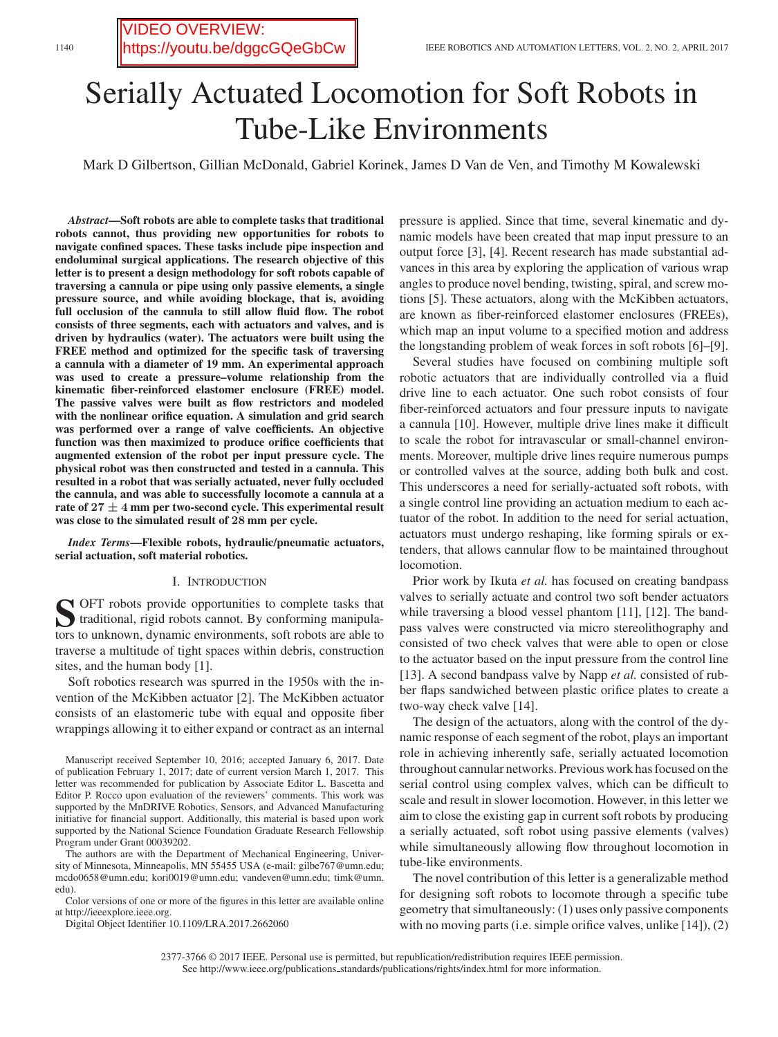<https://youtu.be/dggcGQeGbCw>

VIDEO OVERVIEW:

# Serially Actuated Locomotion for Soft Robots in Tube-Like Environments

Mark D Gilbertson, Gillian McDonald, Gabriel Korinek, James D Van de Ven, and Timothy M Kowalewski

*Abstract***—Soft robots are able to complete tasks that traditional robots cannot, thus providing new opportunities for robots to navigate confined spaces. These tasks include pipe inspection and endoluminal surgical applications. The research objective of this letter is to present a design methodology for soft robots capable of traversing a cannula or pipe using only passive elements, a single pressure source, and while avoiding blockage, that is, avoiding full occlusion of the cannula to still allow fluid flow. The robot consists of three segments, each with actuators and valves, and is driven by hydraulics (water). The actuators were built using the FREE method and optimized for the specific task of traversing a cannula with a diameter of 19 mm. An experimental approach was used to create a pressure–volume relationship from the kinematic fiber-reinforced elastomer enclosure (FREE) model. The passive valves were built as flow restrictors and modeled with the nonlinear orifice equation. A simulation and grid search was performed over a range of valve coefficients. An objective function was then maximized to produce orifice coefficients that augmented extension of the robot per input pressure cycle. The physical robot was then constructed and tested in a cannula. This resulted in a robot that was serially actuated, never fully occluded the cannula, and was able to successfully locomote a cannula at a rate of 27** *±* **4 mm per two-second cycle. This experimental result was close to the simulated result of 28 mm per cycle.**

*Index Terms***—Flexible robots, hydraulic/pneumatic actuators, serial actuation, soft material robotics.**

## I. INTRODUCTION

**S** OFT robots provide opportunities to complete tasks that traditional, rigid robots cannot. By conforming manipulators to unknown, dynamic environments, soft robots are able to traverse a multitude of tight spaces within debris, construction sites, and the human body [1].

Soft robotics research was spurred in the 1950s with the invention of the McKibben actuator [2]. The McKibben actuator consists of an elastomeric tube with equal and opposite fiber wrappings allowing it to either expand or contract as an internal

The authors are with the Department of Mechanical Engineering, University of Minnesota, Minneapolis, MN 55455 USA (e-mail: gilbe767@umn.edu; mcdo0658@umn.edu; kori0019@umn.edu; vandeven@umn.edu; timk@umn. edu).

Color versions of one or more of the figures in this letter are available online at http://ieeexplore.ieee.org.

Digital Object Identifier 10.1109/LRA.2017.2662060

pressure is applied. Since that time, several kinematic and dynamic models have been created that map input pressure to an output force [3], [4]. Recent research has made substantial advances in this area by exploring the application of various wrap angles to produce novel bending, twisting, spiral, and screw motions [5]. These actuators, along with the McKibben actuators, are known as fiber-reinforced elastomer enclosures (FREEs), which map an input volume to a specified motion and address the longstanding problem of weak forces in soft robots [6]–[9].

Several studies have focused on combining multiple soft robotic actuators that are individually controlled via a fluid drive line to each actuator. One such robot consists of four fiber-reinforced actuators and four pressure inputs to navigate a cannula [10]. However, multiple drive lines make it difficult to scale the robot for intravascular or small-channel environments. Moreover, multiple drive lines require numerous pumps or controlled valves at the source, adding both bulk and cost. This underscores a need for serially-actuated soft robots, with a single control line providing an actuation medium to each actuator of the robot. In addition to the need for serial actuation, actuators must undergo reshaping, like forming spirals or extenders, that allows cannular flow to be maintained throughout locomotion.

Prior work by Ikuta *et al.* has focused on creating bandpass valves to serially actuate and control two soft bender actuators while traversing a blood vessel phantom [11], [12]. The bandpass valves were constructed via micro stereolithography and consisted of two check valves that were able to open or close to the actuator based on the input pressure from the control line [13]. A second bandpass valve by Napp *et al.* consisted of rubber flaps sandwiched between plastic orifice plates to create a two-way check valve [14].

The design of the actuators, along with the control of the dynamic response of each segment of the robot, plays an important role in achieving inherently safe, serially actuated locomotion throughout cannular networks. Previous work has focused on the serial control using complex valves, which can be difficult to scale and result in slower locomotion. However, in this letter we aim to close the existing gap in current soft robots by producing a serially actuated, soft robot using passive elements (valves) while simultaneously allowing flow throughout locomotion in tube-like environments.

The novel contribution of this letter is a generalizable method for designing soft robots to locomote through a specific tube geometry that simultaneously: (1) uses only passive components with no moving parts (i.e. simple orifice valves, unlike [14]), (2)

2377-3766 © 2017 IEEE. Personal use is permitted, but republication/redistribution requires IEEE permission. See http://www.ieee.org/publications standards/publications/rights/index.html for more information.

Manuscript received September 10, 2016; accepted January 6, 2017. Date of publication February 1, 2017; date of current version March 1, 2017. This letter was recommended for publication by Associate Editor L. Bascetta and Editor P. Rocco upon evaluation of the reviewers' comments. This work was supported by the MnDRIVE Robotics, Sensors, and Advanced Manufacturing initiative for financial support. Additionally, this material is based upon work supported by the National Science Foundation Graduate Research Fellowship Program under Grant 00039202.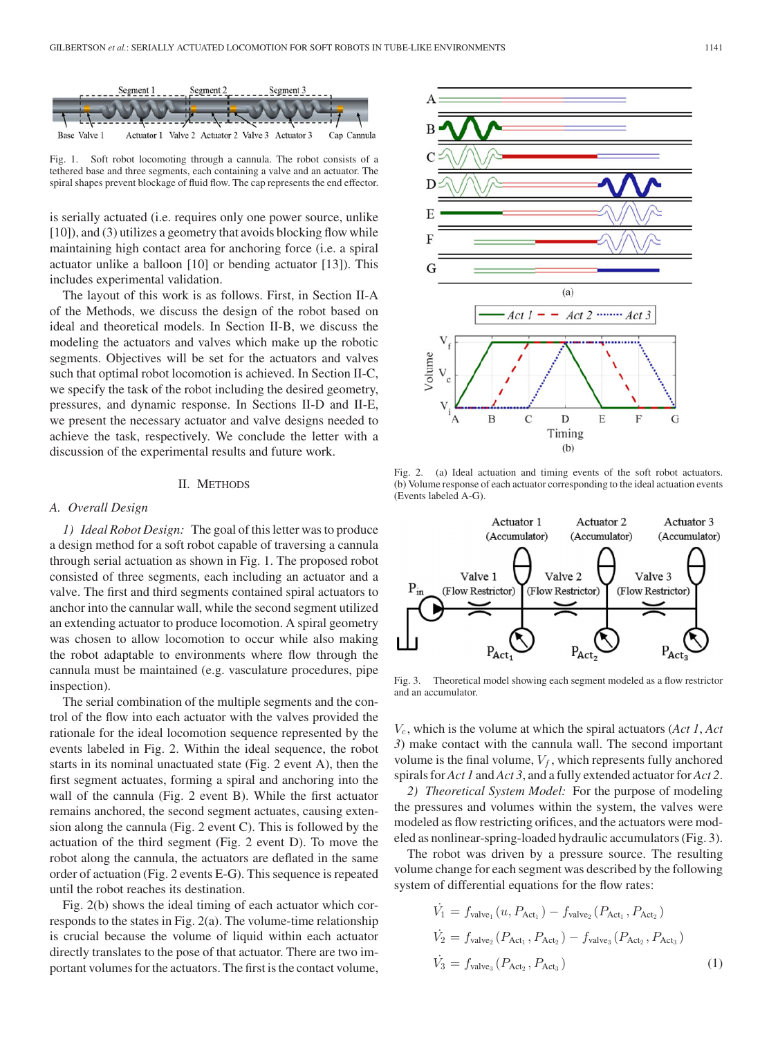

Fig. 1. Soft robot locomoting through a cannula. The robot consists of a tethered base and three segments, each containing a valve and an actuator. The spiral shapes prevent blockage of fluid flow. The cap represents the end effector.

is serially actuated (i.e. requires only one power source, unlike [10]), and (3) utilizes a geometry that avoids blocking flow while maintaining high contact area for anchoring force (i.e. a spiral actuator unlike a balloon [10] or bending actuator [13]). This includes experimental validation.

The layout of this work is as follows. First, in Section II-A of the Methods, we discuss the design of the robot based on ideal and theoretical models. In Section II-B, we discuss the modeling the actuators and valves which make up the robotic segments. Objectives will be set for the actuators and valves such that optimal robot locomotion is achieved. In Section II-C, we specify the task of the robot including the desired geometry, pressures, and dynamic response. In Sections II-D and II-E, we present the necessary actuator and valve designs needed to achieve the task, respectively. We conclude the letter with a discussion of the experimental results and future work.

## II. METHODS

#### *A. Overall Design*

*1) Ideal Robot Design:* The goal of this letter was to produce a design method for a soft robot capable of traversing a cannula through serial actuation as shown in Fig. 1. The proposed robot consisted of three segments, each including an actuator and a valve. The first and third segments contained spiral actuators to anchor into the cannular wall, while the second segment utilized an extending actuator to produce locomotion. A spiral geometry was chosen to allow locomotion to occur while also making the robot adaptable to environments where flow through the cannula must be maintained (e.g. vasculature procedures, pipe inspection).

The serial combination of the multiple segments and the control of the flow into each actuator with the valves provided the rationale for the ideal locomotion sequence represented by the events labeled in Fig. 2. Within the ideal sequence, the robot starts in its nominal unactuated state (Fig. 2 event A), then the first segment actuates, forming a spiral and anchoring into the wall of the cannula (Fig. 2 event B). While the first actuator remains anchored, the second segment actuates, causing extension along the cannula (Fig. 2 event C). This is followed by the actuation of the third segment (Fig. 2 event D). To move the robot along the cannula, the actuators are deflated in the same order of actuation (Fig. 2 events E-G). This sequence is repeated until the robot reaches its destination.

Fig. 2(b) shows the ideal timing of each actuator which corresponds to the states in Fig. 2(a). The volume-time relationship is crucial because the volume of liquid within each actuator directly translates to the pose of that actuator. There are two important volumes for the actuators. The first is the contact volume,



Fig. 2. (a) Ideal actuation and timing events of the soft robot actuators. (b) Volume response of each actuator corresponding to the ideal actuation events (Events labeled A-G).



Fig. 3. Theoretical model showing each segment modeled as a flow restrictor and an accumulator.

 $V_c$ , which is the volume at which the spiral actuators (*Act 1, Act 3*) make contact with the cannula wall. The second important volume is the final volume,  $V_f$ , which represents fully anchored spirals for *Act 1* and *Act 3*, and a fully extended actuator for *Act 2*.

*2) Theoretical System Model:* For the purpose of modeling the pressures and volumes within the system, the valves were modeled as flow restricting orifices, and the actuators were modeled as nonlinear-spring-loaded hydraulic accumulators (Fig. 3).

The robot was driven by a pressure source. The resulting volume change for each segment was described by the following system of differential equations for the flow rates:

$$
\dot{V}_1 = f_{\text{valve}_1}(u, P_{\text{Act}_1}) - f_{\text{valve}_2}(P_{\text{Act}_1}, P_{\text{Act}_2})
$$
\n
$$
\dot{V}_2 = f_{\text{valve}_2}(P_{\text{Act}_1}, P_{\text{Act}_2}) - f_{\text{valve}_3}(P_{\text{Act}_2}, P_{\text{Act}_3})
$$
\n
$$
\dot{V}_3 = f_{\text{valve}_3}(P_{\text{Act}_2}, P_{\text{Act}_3})
$$
\n(1)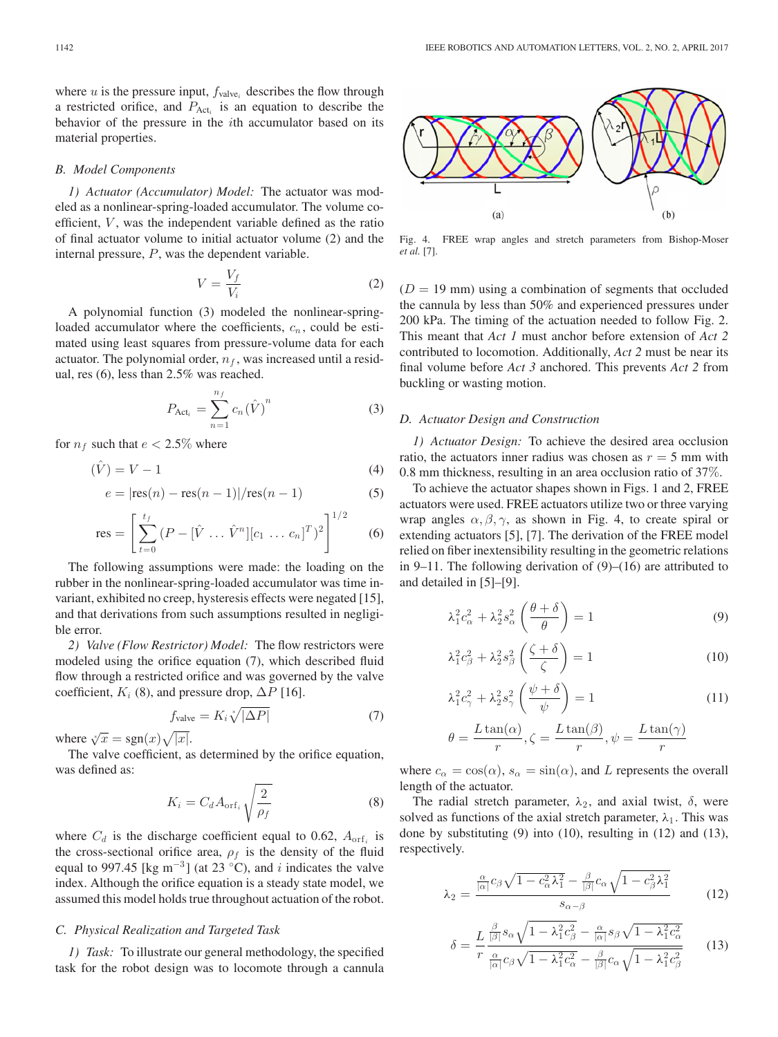where u is the pressure input,  $f_{\text{valve}_i}$  describes the flow through a restricted orifice, and  $P_{\text{Act}_i}$  is an equation to describe the behavior of the pressure in the ith accumulator based on its material properties.

### *B. Model Components*

*1) Actuator (Accumulator) Model:* The actuator was modeled as a nonlinear-spring-loaded accumulator. The volume coefficient,  $V$ , was the independent variable defined as the ratio of final actuator volume to initial actuator volume (2) and the internal pressure, P, was the dependent variable.

$$
V = \frac{V_f}{V_i} \tag{2}
$$

A polynomial function (3) modeled the nonlinear-springloaded accumulator where the coefficients,  $c_n$ , could be estimated using least squares from pressure-volume data for each actuator. The polynomial order,  $n_f$ , was increased until a residual, res (6), less than 2.5% was reached.

$$
P_{\text{Act}_i} = \sum_{n=1}^{n_f} c_n(\hat{V})^n \tag{3}
$$

for  $n_f$  such that  $e < 2.5\%$  where

$$
(\hat{V}) = V - 1 \tag{4}
$$

$$
e = |\text{res}(n) - \text{res}(n-1)|/\text{res}(n-1)
$$
 (5)

res = 
$$
\left[\sum_{t=0}^{t_f} (P - [\hat{V} \dots \hat{V}^n][c_1 \dots c_n]^T)^2\right]^{1/2}
$$
 (6)

The following assumptions were made: the loading on the rubber in the nonlinear-spring-loaded accumulator was time invariant, exhibited no creep, hysteresis effects were negated [15], and that derivations from such assumptions resulted in negligible error.

*2) Valve (Flow Restrictor) Model:* The flow restrictors were modeled using the orifice equation (7), which described fluid flow through a restricted orifice and was governed by the valve coefficient,  $K_i$  (8), and pressure drop,  $\Delta P$  [16].

$$
f_{\text{value}} = K_i \sqrt[*]{|\Delta P|} \tag{7}
$$

where  $\sqrt[x]{x} = \text{sgn}(x)\sqrt{|x|}$ .

The valve coefficient, as determined by the orifice equation, was defined as:

$$
K_i = C_d A_{\text{orf}_i} \sqrt{\frac{2}{\rho_f}}
$$
 (8)

where  $C_d$  is the discharge coefficient equal to 0.62,  $A_{\text{orf}_i}$  is the cross-sectional orifice area,  $\rho_f$  is the density of the fluid equal to 997.45 [kg m<sup>-3</sup>] (at 23 °C), and i indicates the valve index. Although the orifice equation is a steady state model, we assumed this model holds true throughout actuation of the robot.

# *C. Physical Realization and Targeted Task*

*1) Task:* To illustrate our general methodology, the specified task for the robot design was to locomote through a cannula



Fig. 4. FREE wrap angles and stretch parameters from Bishop-Moser *et al.* [7].

 $(D = 19 \text{ mm})$  using a combination of segments that occluded the cannula by less than 50% and experienced pressures under 200 kPa. The timing of the actuation needed to follow Fig. 2. This meant that *Act 1* must anchor before extension of *Act 2* contributed to locomotion. Additionally, *Act 2* must be near its final volume before *Act 3* anchored. This prevents *Act 2* from buckling or wasting motion.

## *D. Actuator Design and Construction*

*1) Actuator Design:* To achieve the desired area occlusion ratio, the actuators inner radius was chosen as  $r = 5$  mm with 0.8 mm thickness, resulting in an area occlusion ratio of 37%.

To achieve the actuator shapes shown in Figs. 1 and 2, FREE actuators were used. FREE actuators utilize two or three varying wrap angles  $\alpha$ ,  $\beta$ ,  $\gamma$ , as shown in Fig. 4, to create spiral or extending actuators [5], [7]. The derivation of the FREE model relied on fiber inextensibility resulting in the geometric relations in 9–11. The following derivation of (9)–(16) are attributed to and detailed in [5]–[9].

$$
\lambda_1^2 c_\alpha^2 + \lambda_2^2 s_\alpha^2 \left(\frac{\theta + \delta}{\theta}\right) = 1\tag{9}
$$

$$
\lambda_1^2 c_\beta^2 + \lambda_2^2 s_\beta^2 \left(\frac{\zeta + \delta}{\zeta}\right) = 1 \tag{10}
$$

$$
\lambda_1^2 c_\gamma^2 + \lambda_2^2 s_\gamma^2 \left(\frac{\psi + \delta}{\psi}\right) = 1 \tag{11}
$$

$$
\theta = \frac{L \tan(\alpha)}{r}, \zeta = \frac{L \tan(\beta)}{r}, \psi = \frac{L \tan(\gamma)}{r}
$$

where  $c_{\alpha} = \cos(\alpha)$ ,  $s_{\alpha} = \sin(\alpha)$ , and L represents the overall length of the actuator.

The radial stretch parameter,  $\lambda_2$ , and axial twist,  $\delta$ , were solved as functions of the axial stretch parameter,  $\lambda_1$ . This was done by substituting (9) into (10), resulting in (12) and (13), respectively.

$$
\lambda_2 = \frac{\frac{\alpha}{|\alpha|} c_\beta \sqrt{1 - c_\alpha^2 \lambda_1^2} - \frac{\beta}{|\beta|} c_\alpha \sqrt{1 - c_\beta^2 \lambda_1^2}}{s_{\alpha - \beta}}
$$
(12)

$$
\delta = \frac{L}{r} \frac{\frac{\beta}{|\beta|} s_{\alpha} \sqrt{1 - \lambda_1^2 c_{\beta}^2} - \frac{\alpha}{|\alpha|} s_{\beta} \sqrt{1 - \lambda_1^2 c_{\alpha}^2}}{\frac{\alpha}{|\alpha|} c_{\beta} \sqrt{1 - \lambda_1^2 c_{\alpha}^2} - \frac{\beta}{|\beta|} c_{\alpha} \sqrt{1 - \lambda_1^2 c_{\beta}^2}}
$$
(13)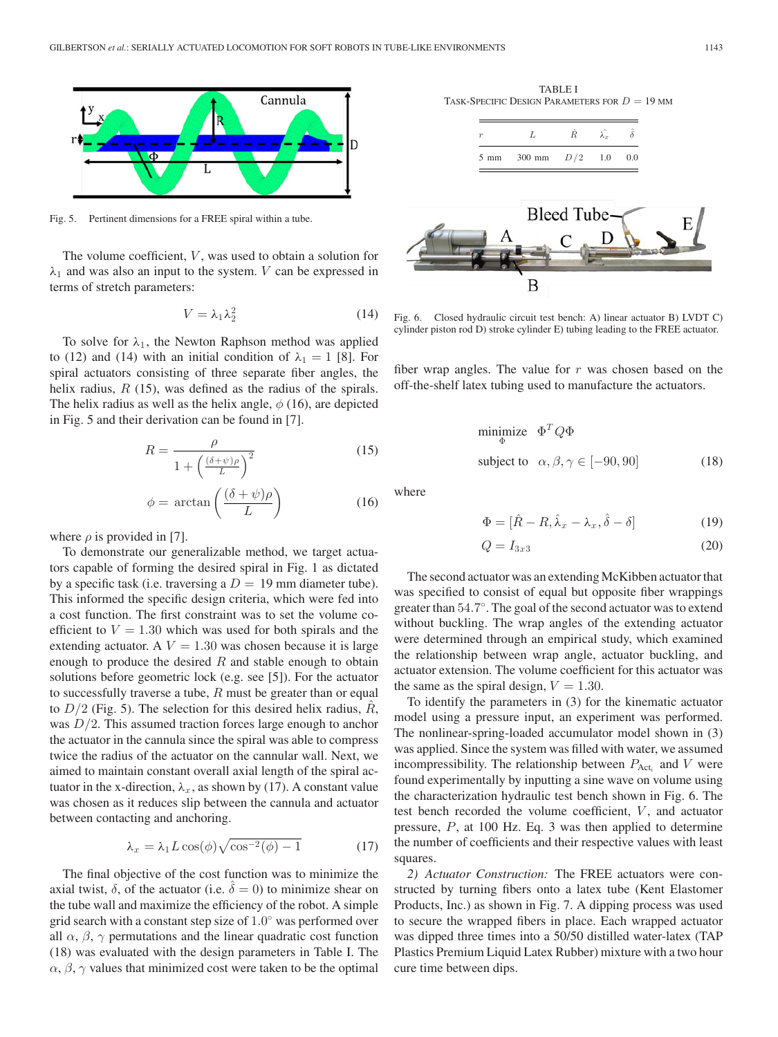

Fig. 5. Pertinent dimensions for a FREE spiral within a tube.

The volume coefficient,  $V$ , was used to obtain a solution for  $\lambda_1$  and was also an input to the system. V can be expressed in terms of stretch parameters:

$$
V = \lambda_1 \lambda_2^2 \tag{14}
$$

To solve for  $\lambda_1$ , the Newton Raphson method was applied to (12) and (14) with an initial condition of  $\lambda_1 = 1$  [8]. For spiral actuators consisting of three separate fiber angles, the helix radius,  $R(15)$ , was defined as the radius of the spirals. The helix radius as well as the helix angle,  $\phi$  (16), are depicted in Fig. 5 and their derivation can be found in [7].

$$
R = \frac{\rho}{1 + \left(\frac{(\delta + \psi)\rho}{L}\right)^2}
$$
(15)

$$
\phi = \arctan\left(\frac{(\delta + \psi)\rho}{L}\right) \tag{16}
$$

where  $\rho$  is provided in [7].

To demonstrate our generalizable method, we target actuators capable of forming the desired spiral in Fig. 1 as dictated by a specific task (i.e. traversing a  $D = 19$  mm diameter tube). This informed the specific design criteria, which were fed into a cost function. The first constraint was to set the volume coefficient to  $V = 1.30$  which was used for both spirals and the extending actuator. A  $V = 1.30$  was chosen because it is large enough to produce the desired  $R$  and stable enough to obtain solutions before geometric lock (e.g. see [5]). For the actuator to successfully traverse a tube,  $R$  must be greater than or equal to  $D/2$  (Fig. 5). The selection for this desired helix radius, R, was  $D/2$ . This assumed traction forces large enough to anchor the actuator in the cannula since the spiral was able to compress twice the radius of the actuator on the cannular wall. Next, we aimed to maintain constant overall axial length of the spiral actuator in the x-direction,  $\lambda_x$ , as shown by (17). A constant value was chosen as it reduces slip between the cannula and actuator between contacting and anchoring.

$$
\lambda_x = \lambda_1 L \cos(\phi) \sqrt{\cos^{-2}(\phi) - 1} \tag{17}
$$

The final objective of the cost function was to minimize the axial twist,  $\delta$ , of the actuator (i.e.  $\delta = 0$ ) to minimize shear on the tube wall and maximize the efficiency of the robot. A simple grid search with a constant step size of 1.0◦ was performed over all  $\alpha$ ,  $\beta$ ,  $\gamma$  permutations and the linear quadratic cost function (18) was evaluated with the design parameters in Table I. The  $\alpha$ ,  $\beta$ ,  $\gamma$  values that minimized cost were taken to be the optimal

TABLE I TASK-SPECIFIC DESIGN PARAMETERS FOR  $D = 19$  MM





Fig. 6. Closed hydraulic circuit test bench: A) linear actuator B) LVDT C) cylinder piston rod D) stroke cylinder E) tubing leading to the FREE actuator.

fiber wrap angles. The value for  $r$  was chosen based on the off-the-shelf latex tubing used to manufacture the actuators.

$$
\begin{array}{ll}\n\text{minimize} & \Phi^T Q \Phi\\ \n\text{subject to} & \alpha, \beta, \gamma \in [-90, 90] \tag{18}\n\end{array}
$$

where

$$
\Phi = [\hat{R} - R, \hat{\lambda}_x - \lambda_x, \hat{\delta} - \delta]
$$
\n(19)

$$
Q = I_{3x3} \tag{20}
$$

The second actuator was an extending McKibben actuator that was specified to consist of equal but opposite fiber wrappings greater than 54.7◦. The goal of the second actuator was to extend without buckling. The wrap angles of the extending actuator were determined through an empirical study, which examined the relationship between wrap angle, actuator buckling, and actuator extension. The volume coefficient for this actuator was the same as the spiral design,  $V = 1.30$ .

To identify the parameters in (3) for the kinematic actuator model using a pressure input, an experiment was performed. The nonlinear-spring-loaded accumulator model shown in (3) was applied. Since the system was filled with water, we assumed incompressibility. The relationship between  $P_{\text{Act}_i}$  and V were found experimentally by inputting a sine wave on volume using the characterization hydraulic test bench shown in Fig. 6. The test bench recorded the volume coefficient,  $V$ , and actuator pressure, P, at 100 Hz. Eq. 3 was then applied to determine the number of coefficients and their respective values with least squares.

*2) Actuator Construction:* The FREE actuators were constructed by turning fibers onto a latex tube (Kent Elastomer Products, Inc.) as shown in Fig. 7. A dipping process was used to secure the wrapped fibers in place. Each wrapped actuator was dipped three times into a 50/50 distilled water-latex (TAP Plastics Premium Liquid Latex Rubber) mixture with a two hour cure time between dips.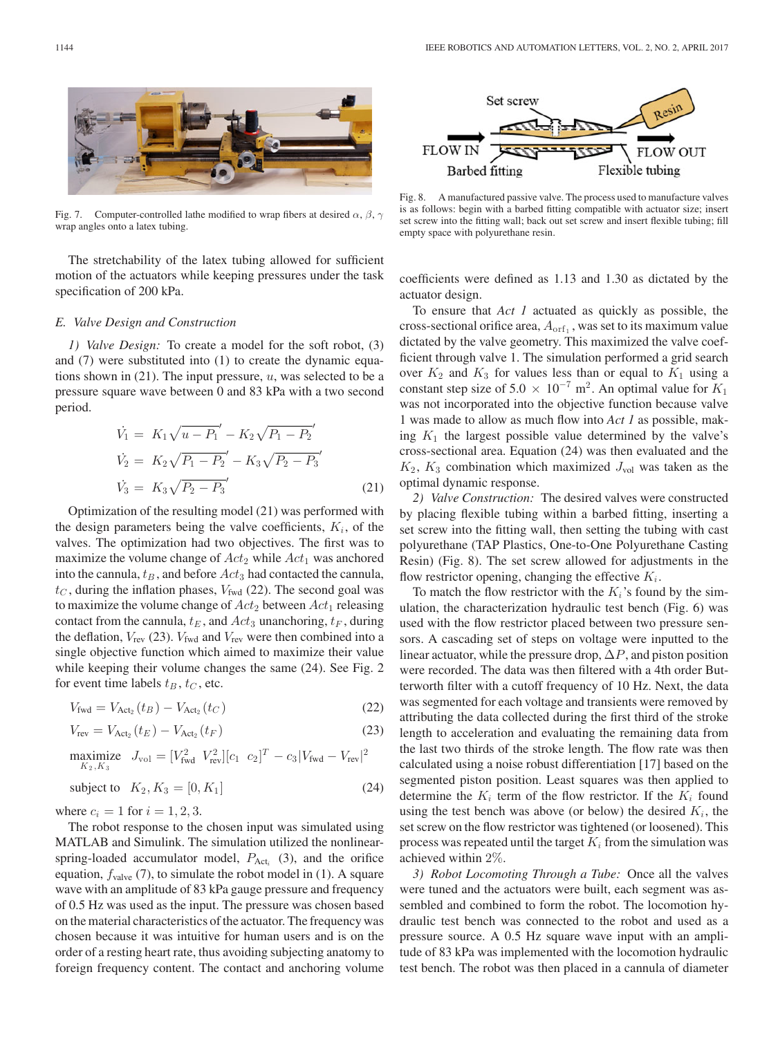

Fig. 7. Computer-controlled lathe modified to wrap fibers at desired  $\alpha$ ,  $\beta$ ,  $\gamma$ wrap angles onto a latex tubing.

The stretchability of the latex tubing allowed for sufficient motion of the actuators while keeping pressures under the task specification of 200 kPa.

#### *E. Valve Design and Construction*

*1) Valve Design:* To create a model for the soft robot, (3) and (7) were substituted into (1) to create the dynamic equations shown in  $(21)$ . The input pressure, u, was selected to be a pressure square wave between 0 and 83 kPa with a two second period.

$$
\dot{V}_1 = K_1 \sqrt{u - P_1}' - K_2 \sqrt{P_1 - P_2}' \n\dot{V}_2 = K_2 \sqrt{P_1 - P_2}' - K_3 \sqrt{P_2 - P_3}' \n\dot{V}_3 = K_3 \sqrt{P_2 - P_3}'
$$
\n(21)

Optimization of the resulting model (21) was performed with the design parameters being the valve coefficients,  $K_i$ , of the valves. The optimization had two objectives. The first was to maximize the volume change of  $Act_2$  while  $Act_1$  was anchored into the cannula,  $t_B$ , and before  $Act_3$  had contacted the cannula,  $t<sub>C</sub>$ , during the inflation phases,  $V_{\text{fwd}}$  (22). The second goal was to maximize the volume change of  $Act_2$  between  $Act_1$  releasing contact from the cannula,  $t_E$ , and  $Act_3$  unanchoring,  $t_F$ , during the deflation,  $V_{\text{rev}}$  (23).  $V_{\text{fwd}}$  and  $V_{\text{rev}}$  were then combined into a single objective function which aimed to maximize their value while keeping their volume changes the same (24). See Fig. 2 for event time labels  $t_B$ ,  $t_C$ , etc.

$$
V_{\text{fwd}} = V_{\text{Act}_2}(t_B) - V_{\text{Act}_2}(t_C) \tag{22}
$$

$$
V_{\text{rev}} = V_{\text{Act}_2}(t_E) - V_{\text{Act}_2}(t_F)
$$
 (23)

$$
\begin{aligned}\n\text{maximize} \quad & J_{\text{vol}} = [V_{\text{fwd}}^2 \quad V_{\text{rev}}^2][c_1 \quad c_2]^T - c_3 |V_{\text{fwd}} - V_{\text{rev}}|^2 \\
\text{subject to} \quad & K_2, K_3 = [0, K_1] \tag{24}\n\end{aligned}
$$

where  $c_i = 1$  for  $i = 1, 2, 3$ .

The robot response to the chosen input was simulated using MATLAB and Simulink. The simulation utilized the nonlinearspring-loaded accumulator model,  $P_{\text{Act}_i}$  (3), and the orifice equation,  $f_{\text{value}}$  (7), to simulate the robot model in (1). A square wave with an amplitude of 83 kPa gauge pressure and frequency of 0.5 Hz was used as the input. The pressure was chosen based on the material characteristics of the actuator. The frequency was chosen because it was intuitive for human users and is on the order of a resting heart rate, thus avoiding subjecting anatomy to foreign frequency content. The contact and anchoring volume



Fig. 8. A manufactured passive valve. The process used to manufacture valves is as follows: begin with a barbed fitting compatible with actuator size; insert set screw into the fitting wall; back out set screw and insert flexible tubing; fill empty space with polyurethane resin.

coefficients were defined as 1.13 and 1.30 as dictated by the actuator design.

To ensure that *Act 1* actuated as quickly as possible, the cross-sectional orifice area,  $A_{\text{orf}_1}$ , was set to its maximum value dictated by the valve geometry. This maximized the valve coefficient through valve 1. The simulation performed a grid search over  $K_2$  and  $K_3$  for values less than or equal to  $K_1$  using a constant step size of 5.0  $\times$  10<sup>-7</sup> m<sup>2</sup>. An optimal value for  $K_1$ was not incorporated into the objective function because valve 1 was made to allow as much flow into *Act 1* as possible, making  $K_1$  the largest possible value determined by the valve's cross-sectional area. Equation (24) was then evaluated and the  $K_2$ ,  $K_3$  combination which maximized  $J_{\text{vol}}$  was taken as the optimal dynamic response.

*2) Valve Construction:* The desired valves were constructed by placing flexible tubing within a barbed fitting, inserting a set screw into the fitting wall, then setting the tubing with cast polyurethane (TAP Plastics, One-to-One Polyurethane Casting Resin) (Fig. 8). The set screw allowed for adjustments in the flow restrictor opening, changing the effective  $K_i$ .

To match the flow restrictor with the  $K_i$ 's found by the simulation, the characterization hydraulic test bench (Fig. 6) was used with the flow restrictor placed between two pressure sensors. A cascading set of steps on voltage were inputted to the linear actuator, while the pressure drop,  $\Delta P$ , and piston position were recorded. The data was then filtered with a 4th order Butterworth filter with a cutoff frequency of 10 Hz. Next, the data was segmented for each voltage and transients were removed by attributing the data collected during the first third of the stroke length to acceleration and evaluating the remaining data from the last two thirds of the stroke length. The flow rate was then calculated using a noise robust differentiation [17] based on the segmented piston position. Least squares was then applied to determine the  $K_i$  term of the flow restrictor. If the  $K_i$  found using the test bench was above (or below) the desired  $K_i$ , the set screw on the flow restrictor was tightened (or loosened). This process was repeated until the target  $K_i$  from the simulation was achieved within 2%.

*3) Robot Locomoting Through a Tube:* Once all the valves were tuned and the actuators were built, each segment was assembled and combined to form the robot. The locomotion hydraulic test bench was connected to the robot and used as a pressure source. A 0.5 Hz square wave input with an amplitude of 83 kPa was implemented with the locomotion hydraulic test bench. The robot was then placed in a cannula of diameter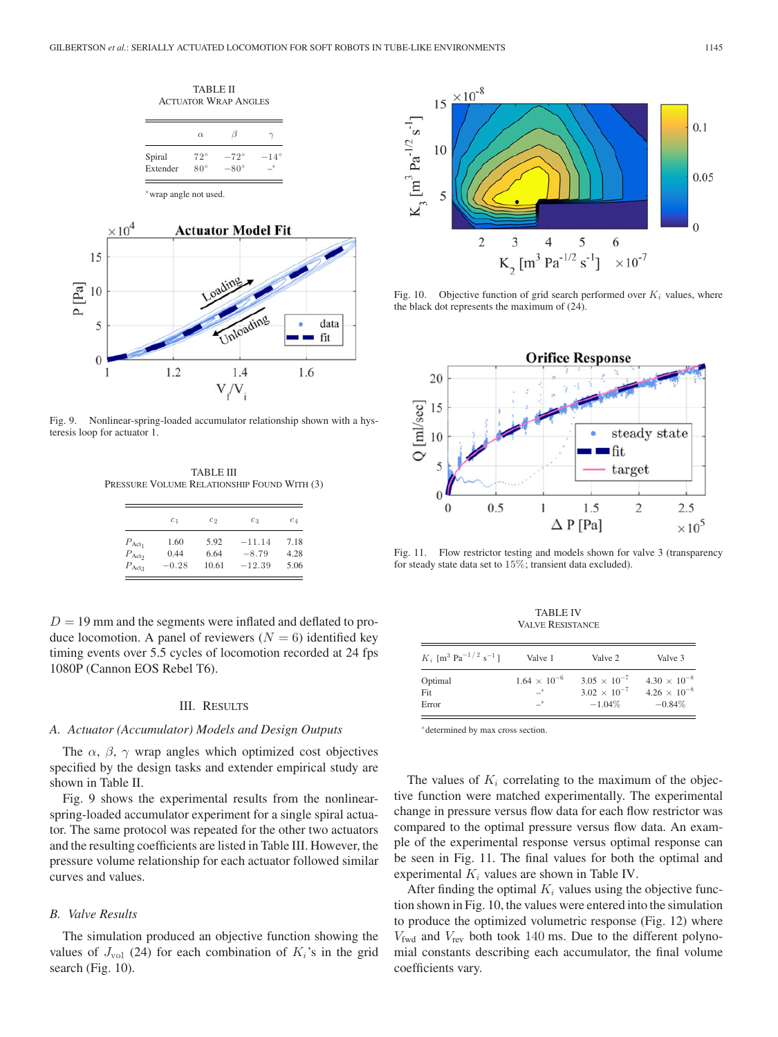TABLE II ACTUATOR WRAP ANGLES

|          | $\alpha$     | 11            |               |
|----------|--------------|---------------|---------------|
| Spiral   | $72^{\circ}$ | $-72^{\circ}$ | $-14^{\circ}$ |
| Extender | $80^\circ$   | $-80^\circ$   | *             |

∗wrap angle not used.



Fig. 9. Nonlinear-spring-loaded accumulator relationship shown with a hysteresis loop for actuator 1.

TABLE III PRESSURE VOLUME RELATIONSHIP FOUND WITH (3)

|                    | c <sub>1</sub> | $c_{2}$ | $c_3$    | $c_4$ |
|--------------------|----------------|---------|----------|-------|
| $P_{\text{Act}_1}$ | 1.60           | 5.92    | $-11.14$ | 7.18  |
| $P_{\text{Act}_2}$ | 0.44           | 6.64    | $-8.79$  | 4.28  |
| $P_{\text{Act}_3}$ | $-0.28$        | 10.61   | $-12.39$ | 5.06  |

 $D = 19$  mm and the segments were inflated and deflated to produce locomotion. A panel of reviewers  $(N = 6)$  identified key timing events over 5.5 cycles of locomotion recorded at 24 fps 1080P (Cannon EOS Rebel T6).

### III. RESULTS

## *A. Actuator (Accumulator) Models and Design Outputs*

The  $\alpha$ ,  $\beta$ ,  $\gamma$  wrap angles which optimized cost objectives specified by the design tasks and extender empirical study are shown in Table II.

Fig. 9 shows the experimental results from the nonlinearspring-loaded accumulator experiment for a single spiral actuator. The same protocol was repeated for the other two actuators and the resulting coefficients are listed in Table III. However, the pressure volume relationship for each actuator followed similar curves and values.

# *B. Valve Results*

The simulation produced an objective function showing the values of  $J_{\text{vol}}$  (24) for each combination of  $K_i$ 's in the grid search (Fig. 10).



Fig. 10. Objective function of grid search performed over  $K_i$  values, where the black dot represents the maximum of (24).



Fig. 11. Flow restrictor testing and models shown for valve 3 (transparency for steady state data set to 15%; transient data excluded).

TABLE IV VALVE RESISTANCE

| $K_i$ [m <sup>3</sup> Pa <sup>-1/2</sup> s <sup>-1</sup> ] | Valve 1               | Valve 2               | Valve 3               |
|------------------------------------------------------------|-----------------------|-----------------------|-----------------------|
| Optimal                                                    | $1.64 \times 10^{-6}$ | $3.05 \times 10^{-7}$ | $4.30 \times 10^{-8}$ |
| Fit                                                        | $-^*$                 | $3.02 \times 10^{-7}$ | $4.26 \times 10^{-8}$ |
| Error                                                      | $-^*$                 | $-1.04\%$             | $-0.84\%$             |

∗determined by max cross section.

The values of  $K_i$  correlating to the maximum of the objective function were matched experimentally. The experimental change in pressure versus flow data for each flow restrictor was compared to the optimal pressure versus flow data. An example of the experimental response versus optimal response can be seen in Fig. 11. The final values for both the optimal and experimental  $K_i$  values are shown in Table IV.

After finding the optimal  $K_i$  values using the objective function shown in Fig. 10, the values were entered into the simulation to produce the optimized volumetric response (Fig. 12) where  $V_{\text{fwd}}$  and  $V_{\text{rev}}$  both took 140 ms. Due to the different polynomial constants describing each accumulator, the final volume coefficients vary.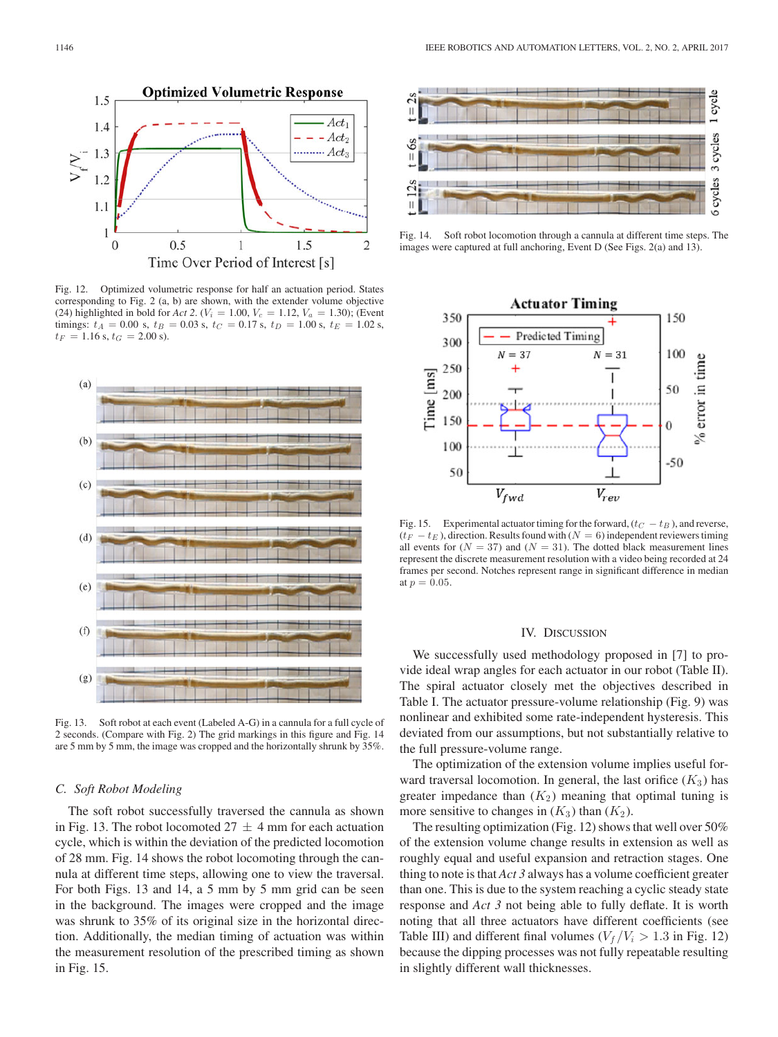

Fig. 12. Optimized volumetric response for half an actuation period. States corresponding to Fig. 2 (a, b) are shown, with the extender volume objective (24) highlighted in bold for *Act* 2. ( $V_i = 1.00$ ,  $V_c = 1.12$ ,  $V_a = 1.30$ ); (Event timings:  $t_A = 0.00$  s,  $t_B = 0.03$  s,  $t_C = 0.17$  s,  $t_D = 1.00$  s,  $t_E = 1.02$  s,  $t_F = 1.16$  s,  $t_G = 2.00$  s).



Fig. 13. Soft robot at each event (Labeled A-G) in a cannula for a full cycle of 2 seconds. (Compare with Fig. 2) The grid markings in this figure and Fig. 14 are 5 mm by 5 mm, the image was cropped and the horizontally shrunk by 35%.

## *C. Soft Robot Modeling*

The soft robot successfully traversed the cannula as shown in Fig. 13. The robot locomoted  $27 \pm 4$  mm for each actuation cycle, which is within the deviation of the predicted locomotion of 28 mm. Fig. 14 shows the robot locomoting through the cannula at different time steps, allowing one to view the traversal. For both Figs. 13 and 14, a 5 mm by 5 mm grid can be seen in the background. The images were cropped and the image was shrunk to 35% of its original size in the horizontal direction. Additionally, the median timing of actuation was within the measurement resolution of the prescribed timing as shown in Fig. 15.



Fig. 14. Soft robot locomotion through a cannula at different time steps. The images were captured at full anchoring, Event D (See Figs. 2(a) and 13).



Fig. 15. Experimental actuator timing for the forward,  $(t_C - t_B)$ , and reverse,  $(t_F - t_E)$ , direction. Results found with  $(N = 6)$  independent reviewers timing all events for  $(N = 37)$  and  $(N = 31)$ . The dotted black measurement lines represent the discrete measurement resolution with a video being recorded at 24 frames per second. Notches represent range in significant difference in median at  $p = 0.05$ .

## IV. DISCUSSION

We successfully used methodology proposed in [7] to provide ideal wrap angles for each actuator in our robot (Table II). The spiral actuator closely met the objectives described in Table I. The actuator pressure-volume relationship (Fig. 9) was nonlinear and exhibited some rate-independent hysteresis. This deviated from our assumptions, but not substantially relative to the full pressure-volume range.

The optimization of the extension volume implies useful forward traversal locomotion. In general, the last orifice  $(K_3)$  has greater impedance than  $(K_2)$  meaning that optimal tuning is more sensitive to changes in  $(K_3)$  than  $(K_2)$ .

The resulting optimization (Fig. 12) shows that well over 50% of the extension volume change results in extension as well as roughly equal and useful expansion and retraction stages. One thing to note is that *Act 3* always has a volume coefficient greater than one. This is due to the system reaching a cyclic steady state response and *Act 3* not being able to fully deflate. It is worth noting that all three actuators have different coefficients (see Table III) and different final volumes ( $V_f/V_i > 1.3$  in Fig. 12) because the dipping processes was not fully repeatable resulting in slightly different wall thicknesses.